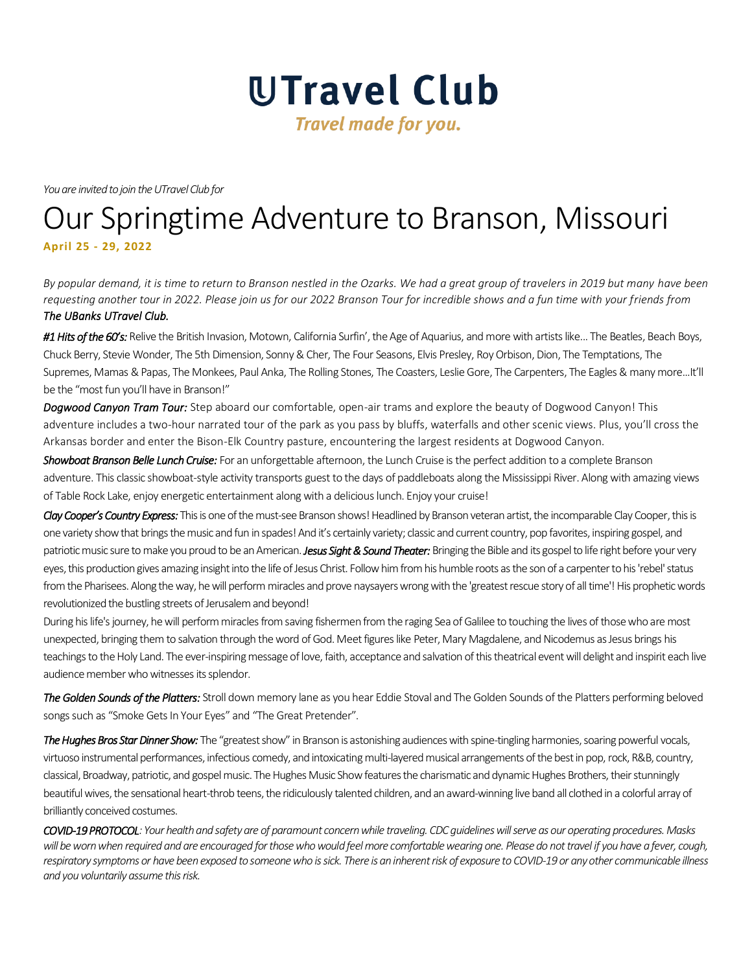

*You are invited to join the UTravel Club for*

# Our Springtime Adventure to Branson, Missouri **April 25 - 29, 2022**

*By popular demand, it is time to return to Branson nestled in the Ozarks. We had a great group of travelers in 2019 but many have been requesting another tour in 2022. Please join us for our 2022 Branson Tour for incredible shows and a fun time with your friends from The UBanks UTravel Club.* 

*#1 Hits of the 60's:* Relive the British Invasion, Motown, California Surfin', the Age of Aquarius, and more with artists like... The Beatles, Beach Boys, Chuck Berry, Stevie Wonder, The 5th Dimension, Sonny & Cher, The Four Seasons, Elvis Presley, Roy Orbison, Dion, The Temptations, The Supremes, Mamas & Papas, The Monkees, Paul Anka, The Rolling Stones, The Coasters, Leslie Gore, The Carpenters, The Eagles & many more...It'll be the "most fun you'll have in Branson!"

*Dogwood Canyon Tram Tour:* Step aboard our comfortable, open-air trams and explore the beauty of Dogwood Canyon! This adventure includes a two-hour narrated tour of the park as you pass by bluffs, waterfalls and other scenic views. Plus, you'll cross the Arkansas border and enter the Bison-Elk Country pasture, encountering the largest residents at Dogwood Canyon.

*Showboat Branson Belle Lunch Cruise:* For an unforgettable afternoon, the Lunch Cruise is the perfect addition to a complete Branson adventure. This classic showboat-style activity transports guest to the days of paddleboats along the Mississippi River. Along with amazing views of Table Rock Lake, enjoy energetic entertainment along with a delicious lunch. Enjoy your cruise!

*Clay Cooper's Country Express:* This is one of the must-see Branson shows! Headlined by Branson veteran artist, the incomparable Clay Cooper, this is one variety show that brings the music and fun in spades! And it's certainly variety; classic and current country, pop favorites, inspiring gospel, and patriotic music sure to make you proud to be an American. *Jesus Sight & Sound Theater:* Bringing the Bible and its gospel to life right before your very eyes, this production gives amazing insight into the life of Jesus Christ. Follow him from his humble roots as the son of a carpenter to his 'rebel' status from the Pharisees. Along the way, he will perform miracles and prove naysayers wrong with the 'greatest rescue story of all time'! His prophetic words revolutionized the bustling streets of Jerusalem and beyond!

During his life's journey, he will perform miracles from saving fishermen from the raging Sea of Galilee to touching the lives of those who are most unexpected, bringing them to salvation through the word of God. Meet figures like Peter, Mary Magdalene, and Nicodemus as Jesus brings his teachings to the Holy Land. The ever-inspiring message of love, faith, acceptance and salvation of this theatrical event will delight and inspirit each live audience member who witnesses its splendor.

*The Golden Sounds of the Platters:* Stroll down memory lane as you hear Eddie Stoval and The Golden Sounds of the Platters performing beloved songs such as "Smoke Gets In Your Eyes" and "The Great Pretender".

*The Hughes Bros Star Dinner Show:* The "greatest show" in Branson is astonishing audiences with spine-tingling harmonies, soaring powerful vocals, virtuoso instrumental performances, infectious comedy, and intoxicating multi-layered musical arrangements of the best in pop, rock, R&B, country, classical, Broadway, patriotic, and gospel music. The Hughes Music Show features the charismatic and dynamic Hughes Brothers, their stunningly beautiful wives, the sensational heart-throb teens, the ridiculously talented children, and an award-winning live band all clothed in a colorful array of brilliantly conceived costumes.

*COVID-19 PROTOCOL: Your health and safety are of paramount concern while traveling. CDC guidelines will serve as our operating procedures. Masks will be worn when required and are encouraged for those who would feel more comfortable wearing one. Please do not travel if you have a fever, cough, respiratory symptoms or have been exposed to someone who is sick. There is an inherent risk of exposure to COVID-19 or any other communicable illness and you voluntarily assume this risk.*